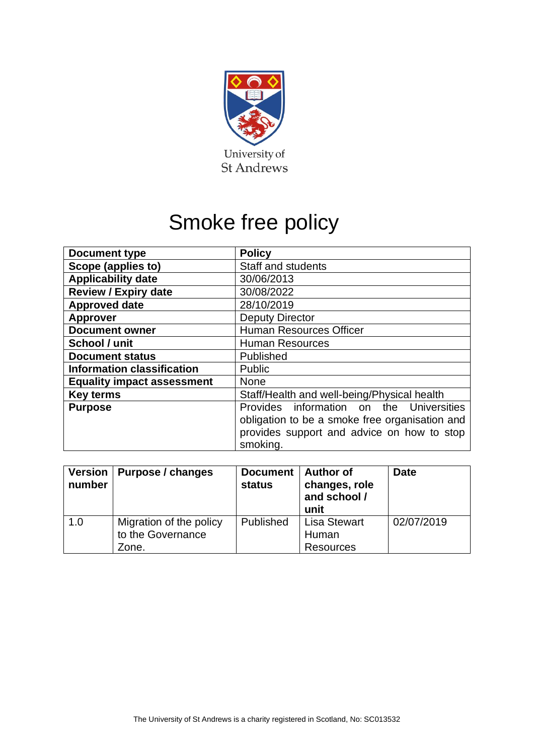

# Smoke free policy

| <b>Document type</b>              | <b>Policy</b>                                  |  |
|-----------------------------------|------------------------------------------------|--|
| Scope (applies to)                | Staff and students                             |  |
| <b>Applicability date</b>         | 30/06/2013                                     |  |
| <b>Review / Expiry date</b>       | 30/08/2022                                     |  |
| <b>Approved date</b>              | 28/10/2019                                     |  |
| <b>Approver</b>                   | <b>Deputy Director</b>                         |  |
| <b>Document owner</b>             | <b>Human Resources Officer</b>                 |  |
| School / unit                     | <b>Human Resources</b>                         |  |
| <b>Document status</b>            | Published                                      |  |
| <b>Information classification</b> | Public                                         |  |
| <b>Equality impact assessment</b> | <b>None</b>                                    |  |
| <b>Key terms</b>                  | Staff/Health and well-being/Physical health    |  |
| <b>Purpose</b>                    | Provides information on the Universities       |  |
|                                   | obligation to be a smoke free organisation and |  |
|                                   | provides support and advice on how to stop     |  |
|                                   | smoking.                                       |  |

| <b>Version</b><br>number | Purpose / changes                                     | <b>Document</b><br><b>status</b> | <b>Author of</b><br>changes, role<br>and school /<br>unit | <b>Date</b> |
|--------------------------|-------------------------------------------------------|----------------------------------|-----------------------------------------------------------|-------------|
| 1.0                      | Migration of the policy<br>to the Governance<br>Zone. | Published                        | <b>Lisa Stewart</b><br>Human<br><b>Resources</b>          | 02/07/2019  |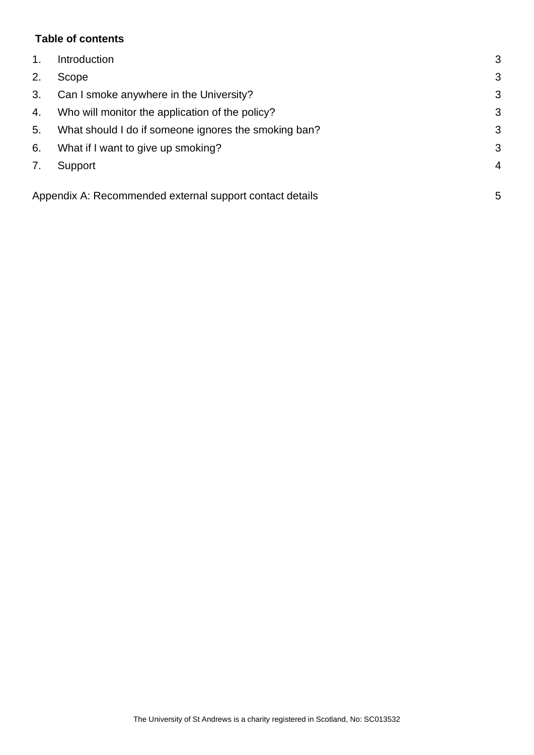# **Table of contents**

| 1 <sub>1</sub> | Introduction                                             | 3              |
|----------------|----------------------------------------------------------|----------------|
| 2.             | Scope                                                    | 3              |
| 3.             | Can I smoke anywhere in the University?                  | 3              |
| 4.             | Who will monitor the application of the policy?          | 3              |
| 5.             | What should I do if someone ignores the smoking ban?     | 3              |
| 6.             | What if I want to give up smoking?                       | 3              |
| 7.             | Support                                                  | $\overline{4}$ |
|                | Appendix A: Recommended external support contact details | 5              |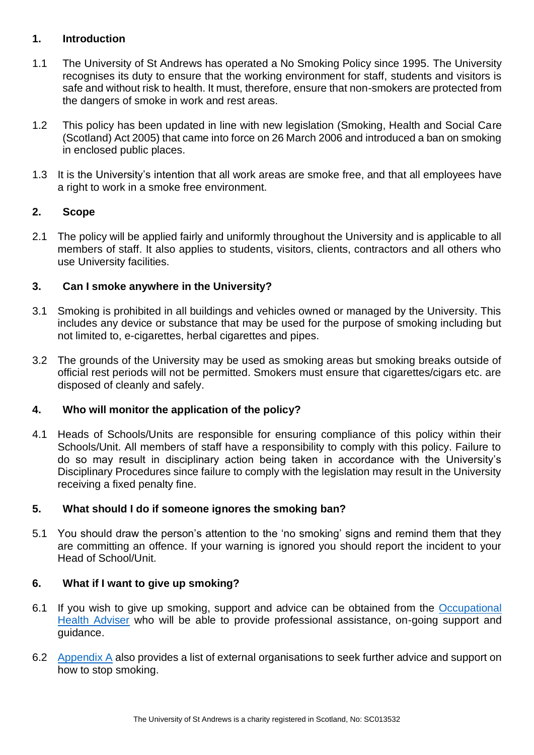## <span id="page-2-0"></span>**1. Introduction**

- 1.1 The University of St Andrews has operated a No Smoking Policy since 1995. The University recognises its duty to ensure that the working environment for staff, students and visitors is safe and without risk to health. It must, therefore, ensure that non-smokers are protected from the dangers of smoke in work and rest areas.
- 1.2 This policy has been updated in line with new legislation (Smoking, Health and Social Care (Scotland) Act 2005) that came into force on 26 March 2006 and introduced a ban on smoking in enclosed public places.
- 1.3 It is the University's intention that all work areas are smoke free, and that all employees have a right to work in a smoke free environment.

## <span id="page-2-1"></span>**2. Scope**

2.1 The policy will be applied fairly and uniformly throughout the University and is applicable to all members of staff. It also applies to students, visitors, clients, contractors and all others who use University facilities.

## <span id="page-2-2"></span>**3. Can I smoke anywhere in the University?**

- 3.1 Smoking is prohibited in all buildings and vehicles owned or managed by the University. This includes any device or substance that may be used for the purpose of smoking including but not limited to, e-cigarettes, herbal cigarettes and pipes.
- 3.2 The grounds of the University may be used as smoking areas but smoking breaks outside of official rest periods will not be permitted. Smokers must ensure that cigarettes/cigars etc. are disposed of cleanly and safely.

#### <span id="page-2-3"></span>**4. Who will monitor the application of the policy?**

4.1 Heads of Schools/Units are responsible for ensuring compliance of this policy within their Schools/Unit. All members of staff have a responsibility to comply with this policy. Failure to do so may result in disciplinary action being taken in accordance with the University's Disciplinary Procedures since failure to comply with the legislation may result in the University receiving a fixed penalty fine.

#### <span id="page-2-4"></span>**5. What should I do if someone ignores the smoking ban?**

5.1 You should draw the person's attention to the 'no smoking' signs and remind them that they are committing an offence. If your warning is ignored you should report the incident to your Head of School/Unit.

#### <span id="page-2-5"></span>**6. What if I want to give up smoking?**

- 6.1 If you wish to give up smoking, support and advice can be obtained from the [Occupational](https://www.st-andrews.ac.uk/ehss/occupationalhealth/)  [Health Adviser](https://www.st-andrews.ac.uk/ehss/occupationalhealth/) who will be able to provide professional assistance, on-going support and guidance.
- 6.2 [Appendix A](#page-4-0) also provides a list of external organisations to seek further advice and support on how to stop smoking.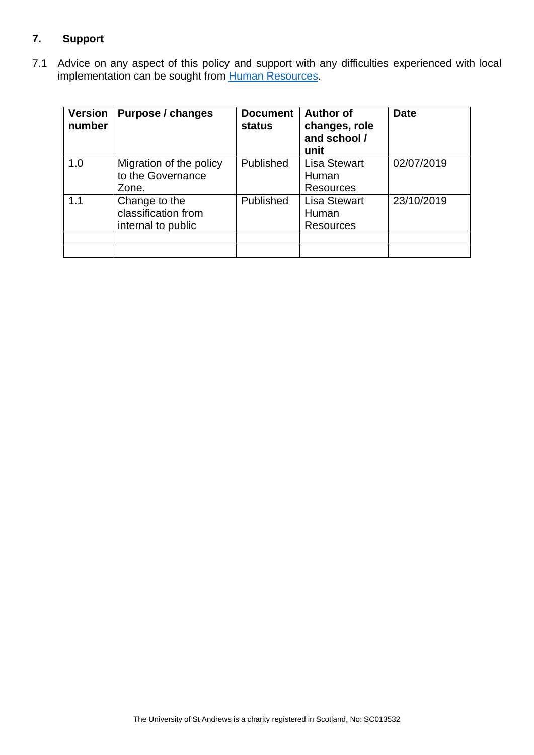# <span id="page-3-0"></span>**7. Support**

7.1 Advice on any aspect of this policy and support with any difficulties experienced with local implementation can be sought from [Human Resources.](https://www.st-andrews.ac.uk/hr/)

| <b>Version</b><br>number | Purpose / changes                                          | <b>Document</b><br><b>status</b> | <b>Author of</b><br>changes, role<br>and school /<br>unit | <b>Date</b> |
|--------------------------|------------------------------------------------------------|----------------------------------|-----------------------------------------------------------|-------------|
| 1.0                      | Migration of the policy<br>to the Governance<br>Zone.      | Published                        | <b>Lisa Stewart</b><br>Human<br><b>Resources</b>          | 02/07/2019  |
| 1.1                      | Change to the<br>classification from<br>internal to public | Published                        | <b>Lisa Stewart</b><br>Human<br><b>Resources</b>          | 23/10/2019  |
|                          |                                                            |                                  |                                                           |             |